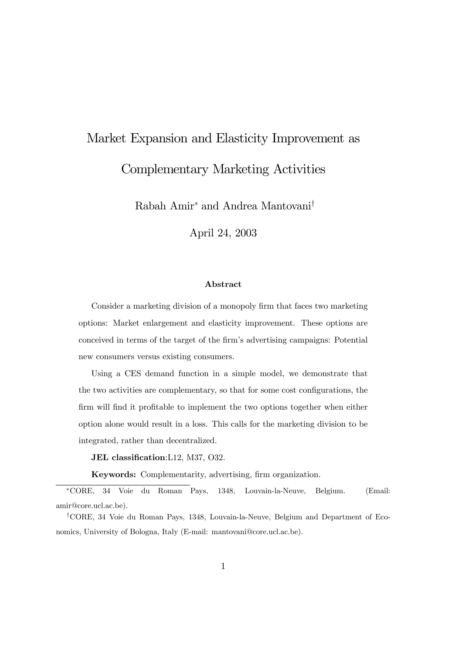# Market Expansion and Elasticity Improvement as Complementary Marketing Activities

Rabah Amir<sup>∗</sup> and Andrea Mantovani†

April 24, 2003

#### Abstract

Consider a marketing division of a monopoly firm that faces two marketing options: Market enlargement and elasticity improvement. These options are conceived in terms of the target of the firm's advertising campaigns: Potential new consumers versus existing consumers.

Using a CES demand function in a simple model, we demonstrate that the two activities are complementary, so that for some cost configurations, the firm will find it profitable to implement the two options together when either option alone would result in a loss. This calls for the marketing division to be integrated, rather than decentralized.

JEL classification:L12, M37, O32.

Keywords: Complementarity, advertising, firm organization.

∗CORE, 34 Voie du Roman Pays, 1348, Louvain-la-Neuve, Belgium. (Email: amir@core.ucl.ac.be).

†CORE, 34 Voie du Roman Pays, 1348, Louvain-la-Neuve, Belgium and Department of Economics, University of Bologna, Italy (E-mail: mantovani@core.ucl.ac.be).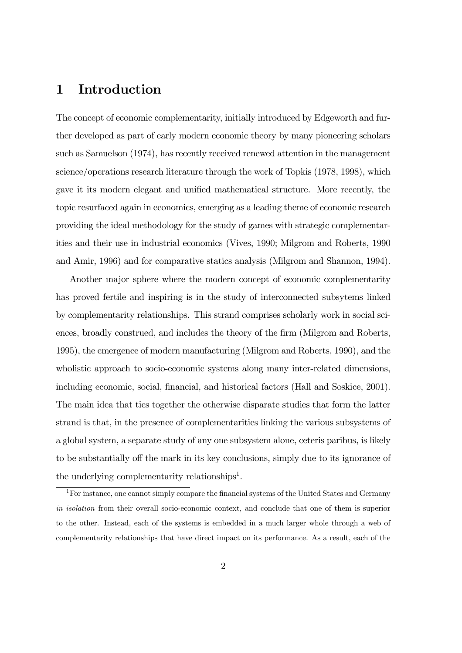### 1 Introduction

The concept of economic complementarity, initially introduced by Edgeworth and further developed as part of early modern economic theory by many pioneering scholars such as Samuelson (1974), has recently received renewed attention in the management science/operations research literature through the work of Topkis (1978, 1998), which gave it its modern elegant and unified mathematical structure. More recently, the topic resurfaced again in economics, emerging as a leading theme of economic research providing the ideal methodology for the study of games with strategic complementarities and their use in industrial economics (Vives, 1990; Milgrom and Roberts, 1990 and Amir, 1996) and for comparative statics analysis (Milgrom and Shannon, 1994).

Another major sphere where the modern concept of economic complementarity has proved fertile and inspiring is in the study of interconnected subsytems linked by complementarity relationships. This strand comprises scholarly work in social sciences, broadly construed, and includes the theory of the firm (Milgrom and Roberts, 1995), the emergence of modern manufacturing (Milgrom and Roberts, 1990), and the wholistic approach to socio-economic systems along many inter-related dimensions, including economic, social, financial, and historical factors (Hall and Soskice, 2001). The main idea that ties together the otherwise disparate studies that form the latter strand is that, in the presence of complementarities linking the various subsystems of a global system, a separate study of any one subsystem alone, ceteris paribus, is likely to be substantially off the mark in its key conclusions, simply due to its ignorance of the underlying complementarity relationships<sup>1</sup>.

<sup>&</sup>lt;sup>1</sup>For instance, one cannot simply compare the financial systems of the United States and Germany in isolation from their overall socio-economic context, and conclude that one of them is superior to the other. Instead, each of the systems is embedded in a much larger whole through a web of complementarity relationships that have direct impact on its performance. As a result, each of the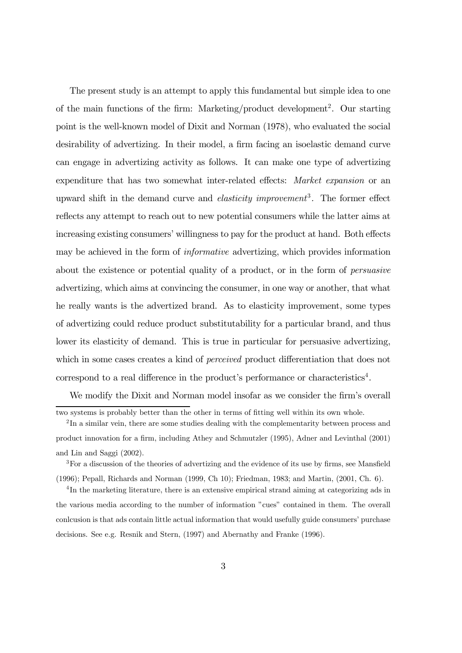The present study is an attempt to apply this fundamental but simple idea to one of the main functions of the firm: Marketing/product development<sup>2</sup>. Our starting point is the well-known model of Dixit and Norman (1978), who evaluated the social desirability of advertizing. In their model, a firm facing an isoelastic demand curve can engage in advertizing activity as follows. It can make one type of advertizing expenditure that has two somewhat inter-related effects: Market expansion or an upward shift in the demand curve and *elasticity improvement*<sup>3</sup>. The former effect reflects any attempt to reach out to new potential consumers while the latter aims at increasing existing consumers' willingness to pay for the product at hand. Both effects may be achieved in the form of informative advertizing, which provides information about the existence or potential quality of a product, or in the form of persuasive advertizing, which aims at convincing the consumer, in one way or another, that what he really wants is the advertized brand. As to elasticity improvement, some types of advertizing could reduce product substitutability for a particular brand, and thus lower its elasticity of demand. This is true in particular for persuasive advertizing, which in some cases creates a kind of *perceived* product differentiation that does not correspond to a real difference in the product's performance or characteristics4.

We modify the Dixit and Norman model insofar as we consider the firm's overall

two systems is probably better than the other in terms of fitting well within its own whole.

<sup>&</sup>lt;sup>2</sup>In a similar vein, there are some studies dealing with the complementarity between process and product innovation for a firm, including Athey and Schmutzler (1995), Adner and Levinthal (2001) and Lin and Saggi (2002).

 $3$  For a discussion of the theories of advertizing and the evidence of its use by firms, see Mansfield (1996); Pepall, Richards and Norman (1999, Ch 10); Friedman, 1983; and Martin, (2001, Ch. 6).

<sup>&</sup>lt;sup>4</sup>In the marketing literature, there is an extensive empirical strand aiming at categorizing ads in the various media according to the number of information "cues" contained in them. The overall conlcusion is that ads contain little actual information that would usefully guide consumers' purchase decisions. See e.g. Resnik and Stern, (1997) and Abernathy and Franke (1996).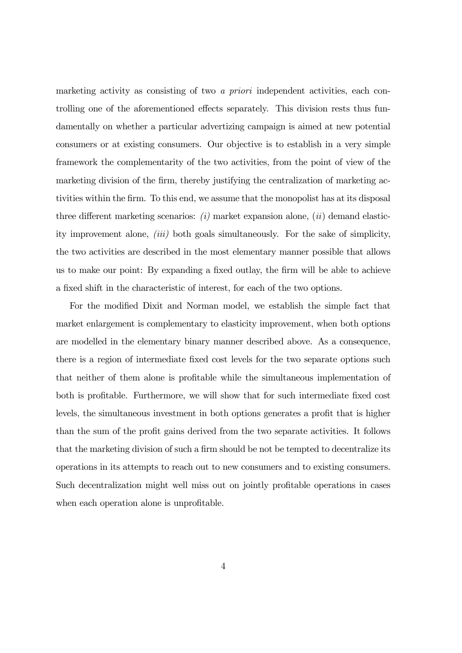marketing activity as consisting of two a priori independent activities, each controlling one of the aforementioned effects separately. This division rests thus fundamentally on whether a particular advertizing campaign is aimed at new potential consumers or at existing consumers. Our objective is to establish in a very simple framework the complementarity of the two activities, from the point of view of the marketing division of the firm, thereby justifying the centralization of marketing activities within the firm. To this end, we assume that the monopolist has at its disposal three different marketing scenarios:  $(i)$  market expansion alone,  $(ii)$  demand elasticity improvement alone, (iii) both goals simultaneously. For the sake of simplicity, the two activities are described in the most elementary manner possible that allows us to make our point: By expanding a fixed outlay, the firm will be able to achieve a fixed shift in the characteristic of interest, for each of the two options.

For the modified Dixit and Norman model, we establish the simple fact that market enlargement is complementary to elasticity improvement, when both options are modelled in the elementary binary manner described above. As a consequence, there is a region of intermediate fixed cost levels for the two separate options such that neither of them alone is profitable while the simultaneous implementation of both is profitable. Furthermore, we will show that for such intermediate fixed cost levels, the simultaneous investment in both options generates a profit that is higher than the sum of the profit gains derived from the two separate activities. It follows that the marketing division of such a firm should be not be tempted to decentralize its operations in its attempts to reach out to new consumers and to existing consumers. Such decentralization might well miss out on jointly profitable operations in cases when each operation alone is unprofitable.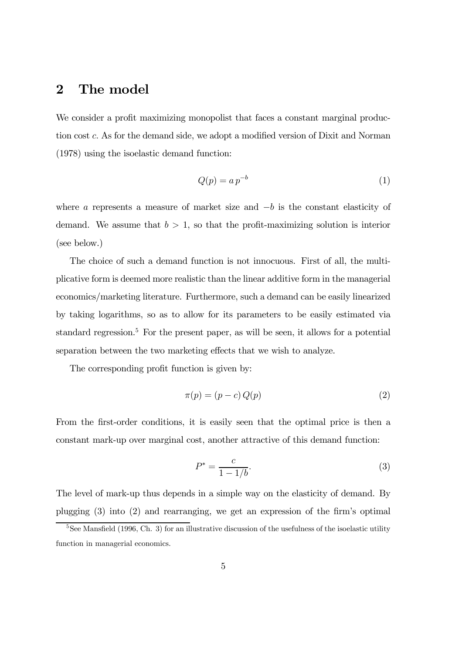### 2 The model

We consider a profit maximizing monopolist that faces a constant marginal production cost c. As for the demand side, we adopt a modified version of Dixit and Norman (1978) using the isoelastic demand function:

$$
Q(p) = a p^{-b} \tag{1}
$$

where a represents a measure of market size and  $-b$  is the constant elasticity of demand. We assume that  $b > 1$ , so that the profit-maximizing solution is interior (see below.)

The choice of such a demand function is not innocuous. First of all, the multiplicative form is deemed more realistic than the linear additive form in the managerial economics/marketing literature. Furthermore, such a demand can be easily linearized by taking logarithms, so as to allow for its parameters to be easily estimated via standard regression.<sup>5</sup> For the present paper, as will be seen, it allows for a potential separation between the two marketing effects that we wish to analyze.

The corresponding profit function is given by:

$$
\pi(p) = (p - c) Q(p) \tag{2}
$$

From the first-order conditions, it is easily seen that the optimal price is then a constant mark-up over marginal cost, another attractive of this demand function:

$$
P^* = \frac{c}{1 - 1/b}.\tag{3}
$$

The level of mark-up thus depends in a simple way on the elasticity of demand. By plugging (3) into (2) and rearranging, we get an expression of the firm's optimal

<sup>&</sup>lt;sup>5</sup>See Mansfield (1996, Ch. 3) for an illustrative discussion of the usefulness of the isoelastic utility function in managerial economics.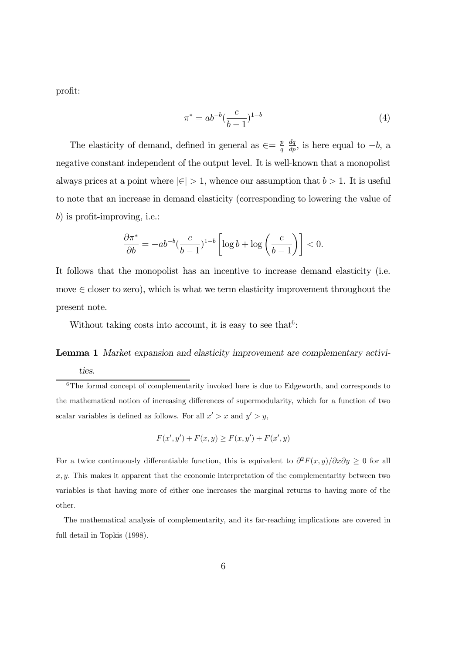profit:

$$
\pi^* = ab^{-b} \left(\frac{c}{b-1}\right)^{1-b} \tag{4}
$$

The elasticity of demand, defined in general as  $\epsilon = \frac{p}{q}$  $\frac{dq}{dp}$ , is here equal to  $-b$ , a negative constant independent of the output level. It is well-known that a monopolist always prices at a point where  $|\epsilon| > 1$ , whence our assumption that  $b > 1$ . It is useful to note that an increase in demand elasticity (corresponding to lowering the value of b) is profit-improving, i.e.:

$$
\frac{\partial \pi^*}{\partial b} = -ab^{-b} \left(\frac{c}{b-1}\right)^{1-b} \left[ \log b + \log \left(\frac{c}{b-1}\right) \right] < 0.
$$

It follows that the monopolist has an incentive to increase demand elasticity (i.e. move  $\in$  closer to zero), which is what we term elasticity improvement throughout the present note.

Without taking costs into account, it is easy to see that  $6$ :

## Lemma 1 Market expansion and elasticity improvement are complementary activi-

$$
F(x', y') + F(x, y) \ge F(x, y') + F(x', y)
$$

For a twice continuously differentiable function, this is equivalent to  $\partial^2 F(x, y)/\partial x \partial y \geq 0$  for all  $x, y$ . This makes it apparent that the economic interpretation of the complementarity between two variables is that having more of either one increases the marginal returns to having more of the other.

The mathematical analysis of complementarity, and its far-reaching implications are covered in full detail in Topkis (1998).

ties.

 $6$ The formal concept of complementarity invoked here is due to Edgeworth, and corresponds to the mathematical notion of increasing differences of supermodularity, which for a function of two scalar variables is defined as follows. For all  $x' > x$  and  $y' > y$ ,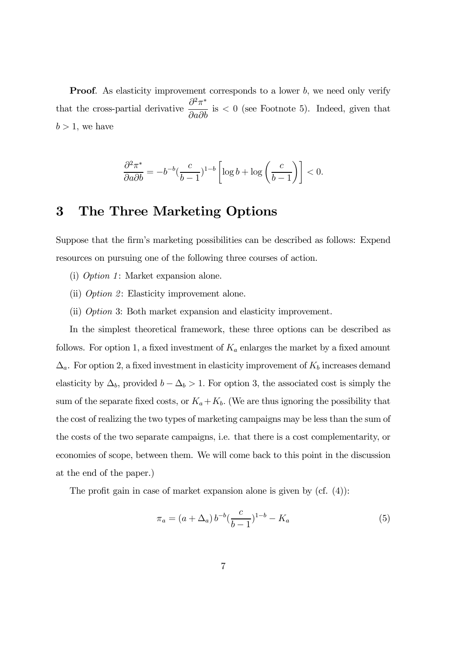**Proof.** As elasticity improvement corresponds to a lower b, we need only verify that the cross-partial derivative  $\frac{\partial^2 \pi^*}{\partial x^2}$  $\frac{\partial^2 a}{\partial a \partial b}$  is < 0 (see Footnote 5). Indeed, given that  $b > 1$ , we have

$$
\frac{\partial^2 \pi^*}{\partial a \partial b} = -b^{-b} \left(\frac{c}{b-1}\right)^{1-b} \left[ \log b + \log \left(\frac{c}{b-1}\right) \right] < 0.
$$

### 3 The Three Marketing Options

Suppose that the firm's marketing possibilities can be described as follows: Expend resources on pursuing one of the following three courses of action.

- (i) Option 1: Market expansion alone.
- (ii) Option 2: Elasticity improvement alone.
- (ii) Option 3: Both market expansion and elasticity improvement.

In the simplest theoretical framework, these three options can be described as follows. For option 1, a fixed investment of  $K_a$  enlarges the market by a fixed amount  $\Delta_a$ . For option 2, a fixed investment in elasticity improvement of  $K_b$  increases demand elasticity by  $\Delta_b$ , provided  $b - \Delta_b > 1$ . For option 3, the associated cost is simply the sum of the separate fixed costs, or  $K_a + K_b$ . (We are thus ignoring the possibility that the cost of realizing the two types of marketing campaigns may be less than the sum of the costs of the two separate campaigns, i.e. that there is a cost complementarity, or economies of scope, between them. We will come back to this point in the discussion at the end of the paper.)

The profit gain in case of market expansion alone is given by (cf. (4)):

$$
\pi_a = (a + \Delta_a) b^{-b} \left(\frac{c}{b-1}\right)^{1-b} - K_a \tag{5}
$$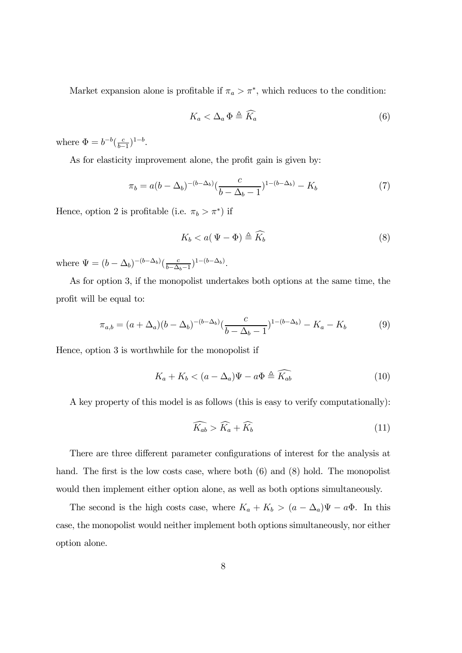Market expansion alone is profitable if  $\pi_a > \pi^*$ , which reduces to the condition:

$$
K_a < \Delta_a \Phi \triangleq \widehat{K_a} \tag{6}
$$

where  $\Phi = b^{-b} (\frac{c}{b-1})^{1-b}$ .

As for elasticity improvement alone, the profit gain is given by:

$$
\pi_b = a(b - \Delta_b)^{-(b - \Delta_b)} \left(\frac{c}{b - \Delta_b - 1}\right)^{1 - (b - \Delta_b)} - K_b \tag{7}
$$

Hence, option 2 is profitable (i.e.  $\pi_b > \pi^*$ ) if

$$
K_b < a(\Psi - \Phi) \triangleq \widehat{K_b} \tag{8}
$$

where  $\Psi = (b - \Delta_b)^{-(b - \Delta_b)} \left( \frac{c}{b - \Delta_b - 1} \right)^{1 - (b - \Delta_b)}$ .

As for option 3, if the monopolist undertakes both options at the same time, the profit will be equal to:

$$
\pi_{a,b} = (a + \Delta_a)(b - \Delta_b)^{-(b - \Delta_b)} \left(\frac{c}{b - \Delta_b - 1}\right)^{1 - (b - \Delta_b)} - K_a - K_b \tag{9}
$$

Hence, option 3 is worthwhile for the monopolist if

$$
K_a + K_b < (a - \Delta_a)\Psi - a\Phi \triangleq \widehat{K_{ab}}\tag{10}
$$

A key property of this model is as follows (this is easy to verify computationally):

$$
\widehat{K_{ab}} > \widehat{K}_a + \widehat{K}_b \tag{11}
$$

There are three different parameter configurations of interest for the analysis at hand. The first is the low costs case, where both  $(6)$  and  $(8)$  hold. The monopolist would then implement either option alone, as well as both options simultaneously.

The second is the high costs case, where  $K_a + K_b > (a - \Delta_a)\Psi - a\Phi$ . In this case, the monopolist would neither implement both options simultaneously, nor either option alone.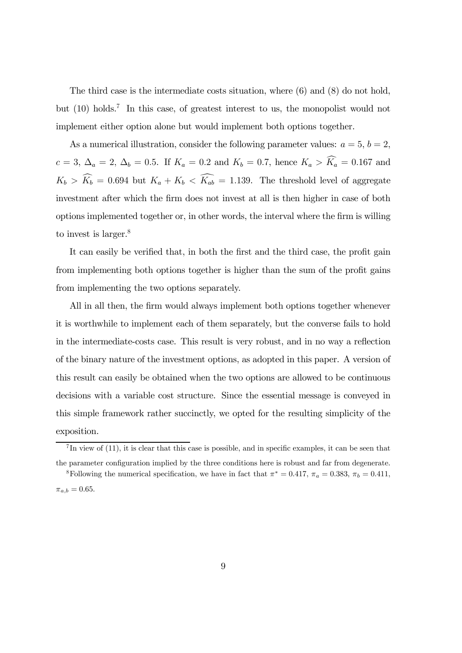The third case is the intermediate costs situation, where (6) and (8) do not hold, but (10) holds.7 In this case, of greatest interest to us, the monopolist would not implement either option alone but would implement both options together.

As a numerical illustration, consider the following parameter values:  $a = 5$ ,  $b = 2$ ,  $c = 3, \Delta_a = 2, \Delta_b = 0.5.$  If  $K_a = 0.2$  and  $K_b = 0.7$ , hence  $K_a > K_a = 0.167$  and  $K_b > K_b = 0.694$  but  $K_a + K_b < K_{ab} = 1.139$ . The threshold level of aggregate investment after which the firm does not invest at all is then higher in case of both options implemented together or, in other words, the interval where the firm is willing to invest is larger.<sup>8</sup>

It can easily be verified that, in both the first and the third case, the profit gain from implementing both options together is higher than the sum of the profit gains from implementing the two options separately.

All in all then, the firm would always implement both options together whenever it is worthwhile to implement each of them separately, but the converse fails to hold in the intermediate-costs case. This result is very robust, and in no way a reflection of the binary nature of the investment options, as adopted in this paper. A version of this result can easily be obtained when the two options are allowed to be continuous decisions with a variable cost structure. Since the essential message is conveyed in this simple framework rather succinctly, we opted for the resulting simplicity of the exposition.

 $^{7}$ In view of (11), it is clear that this case is possible, and in specific examples, it can be seen that the parameter configuration implied by the three conditions here is robust and far from degenerate. <sup>8</sup>Following the numerical specification, we have in fact that  $\pi^* = 0.417$ ,  $\pi_a = 0.383$ ,  $\pi_b = 0.411$ ,

 $\pi_{a,b} = 0.65$ .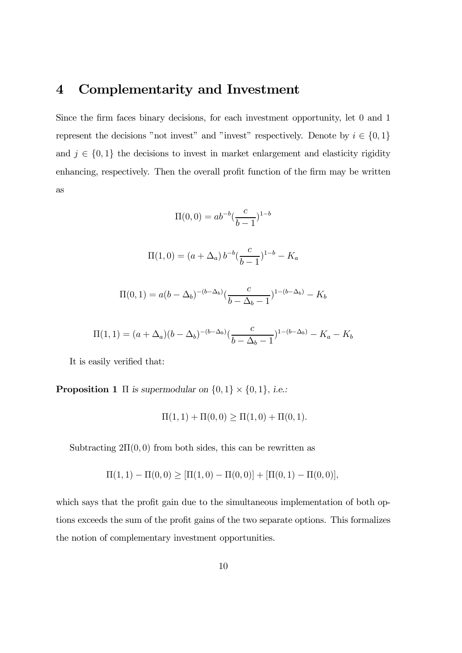### 4 Complementarity and Investment

Since the firm faces binary decisions, for each investment opportunity, let 0 and 1 represent the decisions "not invest" and "invest" respectively. Denote by  $i \in \{0, 1\}$ and  $j \in \{0,1\}$  the decisions to invest in market enlargement and elasticity rigidity enhancing, respectively. Then the overall profit function of the firm may be written as

$$
\Pi(0,0) = ab^{-b} \left(\frac{c}{b-1}\right)^{1-b}
$$

$$
\Pi(1,0) = (a + \Delta_a) b^{-b} \left(\frac{c}{b-1}\right)^{1-b} - K_a
$$

$$
\Pi(0,1) = a(b - \Delta_b)^{-(b - \Delta_b)} \left(\frac{c}{b - \Delta_b - 1}\right)^{1 - (b - \Delta_b)} - K_b
$$

$$
\Pi(1,1) = (a + \Delta_a)(b - \Delta_b)^{-(b - \Delta_b)}(\frac{c}{b - \Delta_b - 1})^{1 - (b - \Delta_b)} - K_a - K_b
$$

It is easily verified that:

**Proposition 1**  $\Pi$  is supermodular on  $\{0, 1\} \times \{0, 1\}$ , i.e.:

$$
\Pi(1,1) + \Pi(0,0) \ge \Pi(1,0) + \Pi(0,1).
$$

Subtracting  $2\Pi(0,0)$  from both sides, this can be rewritten as

$$
\Pi(1,1) - \Pi(0,0) \geq [\Pi(1,0) - \Pi(0,0)] + [\Pi(0,1) - \Pi(0,0)],
$$

which says that the profit gain due to the simultaneous implementation of both options exceeds the sum of the profit gains of the two separate options. This formalizes the notion of complementary investment opportunities.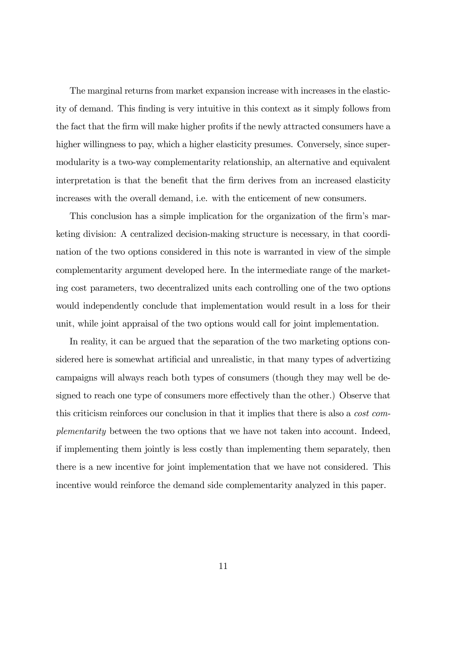The marginal returns from market expansion increase with increases in the elasticity of demand. This finding is very intuitive in this context as it simply follows from the fact that the firm will make higher profits if the newly attracted consumers have a higher willingness to pay, which a higher elasticity presumes. Conversely, since supermodularity is a two-way complementarity relationship, an alternative and equivalent interpretation is that the benefit that the firm derives from an increased elasticity increases with the overall demand, i.e. with the enticement of new consumers.

This conclusion has a simple implication for the organization of the firm's marketing division: A centralized decision-making structure is necessary, in that coordination of the two options considered in this note is warranted in view of the simple complementarity argument developed here. In the intermediate range of the marketing cost parameters, two decentralized units each controlling one of the two options would independently conclude that implementation would result in a loss for their unit, while joint appraisal of the two options would call for joint implementation.

In reality, it can be argued that the separation of the two marketing options considered here is somewhat artificial and unrealistic, in that many types of advertizing campaigns will always reach both types of consumers (though they may well be designed to reach one type of consumers more effectively than the other.) Observe that this criticism reinforces our conclusion in that it implies that there is also a cost complementarity between the two options that we have not taken into account. Indeed, if implementing them jointly is less costly than implementing them separately, then there is a new incentive for joint implementation that we have not considered. This incentive would reinforce the demand side complementarity analyzed in this paper.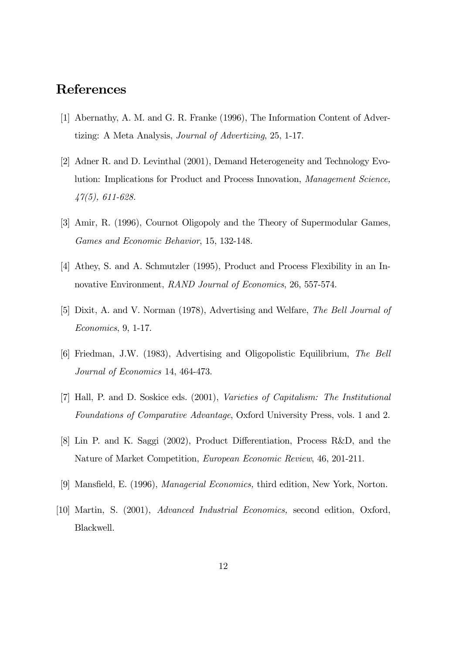### References

- [1] Abernathy, A. M. and G. R. Franke (1996), The Information Content of Advertizing: A Meta Analysis, Journal of Advertizing, 25, 1-17.
- [2] Adner R. and D. Levinthal (2001), Demand Heterogeneity and Technology Evolution: Implications for Product and Process Innovation, Management Science, 47(5), 611-628.
- [3] Amir, R. (1996), Cournot Oligopoly and the Theory of Supermodular Games, Games and Economic Behavior, 15, 132-148.
- [4] Athey, S. and A. Schmutzler (1995), Product and Process Flexibility in an Innovative Environment, RAND Journal of Economics, 26, 557-574.
- [5] Dixit, A. and V. Norman (1978), Advertising and Welfare, The Bell Journal of Economics, 9, 1-17.
- [6] Friedman, J.W. (1983), Advertising and Oligopolistic Equilibrium, The Bell Journal of Economics 14, 464-473.
- [7] Hall, P. and D. Soskice eds. (2001), Varieties of Capitalism: The Institutional Foundations of Comparative Advantage, Oxford University Press, vols. 1 and 2.
- [8] Lin P. and K. Saggi (2002), Product Differentiation, Process R&D, and the Nature of Market Competition, European Economic Review, 46, 201-211.
- [9] Mansfield, E. (1996), Managerial Economics, third edition, New York, Norton.
- [10] Martin, S. (2001), Advanced Industrial Economics, second edition, Oxford, Blackwell.